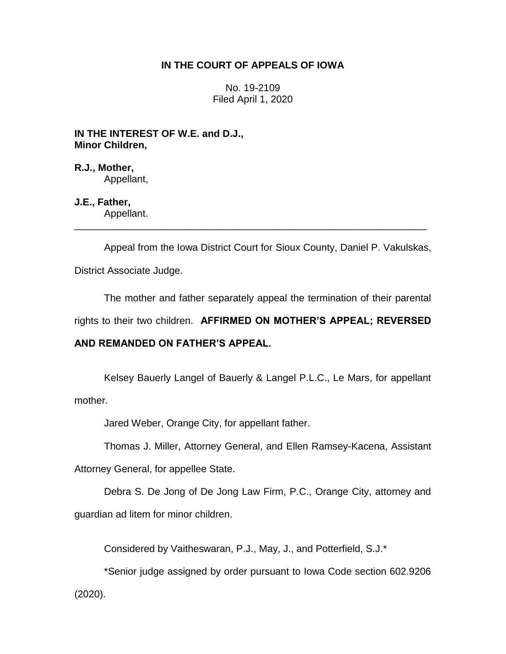## **IN THE COURT OF APPEALS OF IOWA**

No. 19-2109 Filed April 1, 2020

**IN THE INTEREST OF W.E. and D.J., Minor Children,**

**R.J., Mother,** Appellant,

**J.E., Father,**

Appellant. \_\_\_\_\_\_\_\_\_\_\_\_\_\_\_\_\_\_\_\_\_\_\_\_\_\_\_\_\_\_\_\_\_\_\_\_\_\_\_\_\_\_\_\_\_\_\_\_\_\_\_\_\_\_\_\_\_\_\_\_\_\_\_\_

Appeal from the Iowa District Court for Sioux County, Daniel P. Vakulskas,

District Associate Judge.

The mother and father separately appeal the termination of their parental

rights to their two children. **AFFIRMED ON MOTHER'S APPEAL; REVERSED** 

#### **AND REMANDED ON FATHER'S APPEAL.**

Kelsey Bauerly Langel of Bauerly & Langel P.L.C., Le Mars, for appellant mother.

Jared Weber, Orange City, for appellant father.

Thomas J. Miller, Attorney General, and Ellen Ramsey-Kacena, Assistant

Attorney General, for appellee State.

Debra S. De Jong of De Jong Law Firm, P.C., Orange City, attorney and guardian ad litem for minor children.

Considered by Vaitheswaran, P.J., May, J., and Potterfield, S.J.\*

\*Senior judge assigned by order pursuant to Iowa Code section 602.9206

(2020).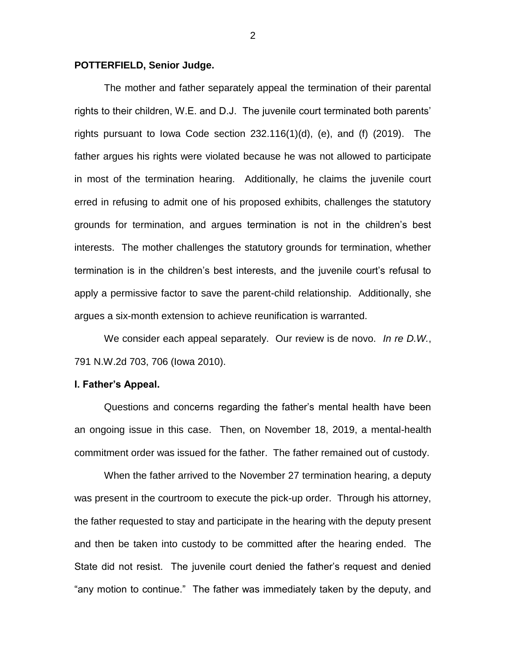#### **POTTERFIELD, Senior Judge.**

The mother and father separately appeal the termination of their parental rights to their children, W.E. and D.J. The juvenile court terminated both parents' rights pursuant to lowa Code section  $232.116(1)(d)$ , (e), and (f)  $(2019)$ . The father argues his rights were violated because he was not allowed to participate in most of the termination hearing. Additionally, he claims the juvenile court erred in refusing to admit one of his proposed exhibits, challenges the statutory grounds for termination, and argues termination is not in the children's best interests. The mother challenges the statutory grounds for termination, whether termination is in the children's best interests, and the juvenile court's refusal to apply a permissive factor to save the parent-child relationship. Additionally, she argues a six-month extension to achieve reunification is warranted.

We consider each appeal separately. Our review is de novo. *In re D.W.*, 791 N.W.2d 703, 706 (Iowa 2010).

#### **I. Father's Appeal.**

Questions and concerns regarding the father's mental health have been an ongoing issue in this case. Then, on November 18, 2019, a mental-health commitment order was issued for the father. The father remained out of custody.

When the father arrived to the November 27 termination hearing, a deputy was present in the courtroom to execute the pick-up order. Through his attorney, the father requested to stay and participate in the hearing with the deputy present and then be taken into custody to be committed after the hearing ended. The State did not resist. The juvenile court denied the father's request and denied "any motion to continue." The father was immediately taken by the deputy, and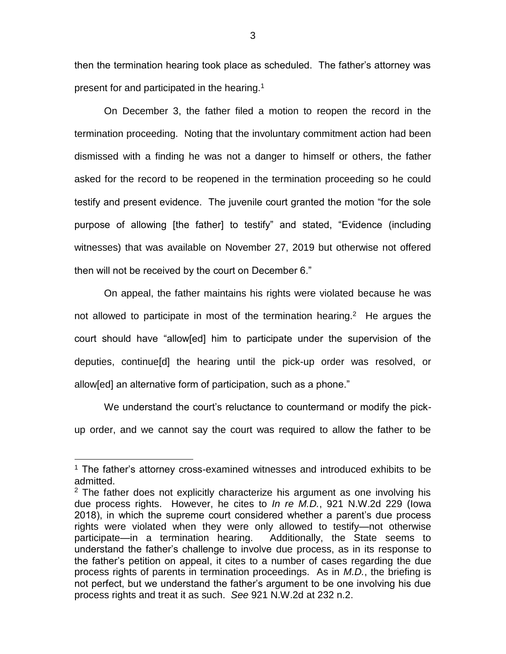then the termination hearing took place as scheduled. The father's attorney was present for and participated in the hearing.<sup>1</sup>

On December 3, the father filed a motion to reopen the record in the termination proceeding. Noting that the involuntary commitment action had been dismissed with a finding he was not a danger to himself or others, the father asked for the record to be reopened in the termination proceeding so he could testify and present evidence. The juvenile court granted the motion "for the sole purpose of allowing [the father] to testify" and stated, "Evidence (including witnesses) that was available on November 27, 2019 but otherwise not offered then will not be received by the court on December 6."

On appeal, the father maintains his rights were violated because he was not allowed to participate in most of the termination hearing.<sup>2</sup> He argues the court should have "allow[ed] him to participate under the supervision of the deputies, continue[d] the hearing until the pick-up order was resolved, or allow[ed] an alternative form of participation, such as a phone."

We understand the court's reluctance to countermand or modify the pickup order, and we cannot say the court was required to allow the father to be

 $\overline{a}$ 

<sup>&</sup>lt;sup>1</sup> The father's attorney cross-examined witnesses and introduced exhibits to be admitted.

<sup>&</sup>lt;sup>2</sup> The father does not explicitly characterize his argument as one involving his due process rights. However, he cites to *In re M.D.*, 921 N.W.2d 229 (Iowa 2018), in which the supreme court considered whether a parent's due process rights were violated when they were only allowed to testify—not otherwise participate—in a termination hearing. Additionally, the State seems to understand the father's challenge to involve due process, as in its response to the father's petition on appeal, it cites to a number of cases regarding the due process rights of parents in termination proceedings. As in *M.D.*, the briefing is not perfect, but we understand the father's argument to be one involving his due process rights and treat it as such. *See* 921 N.W.2d at 232 n.2.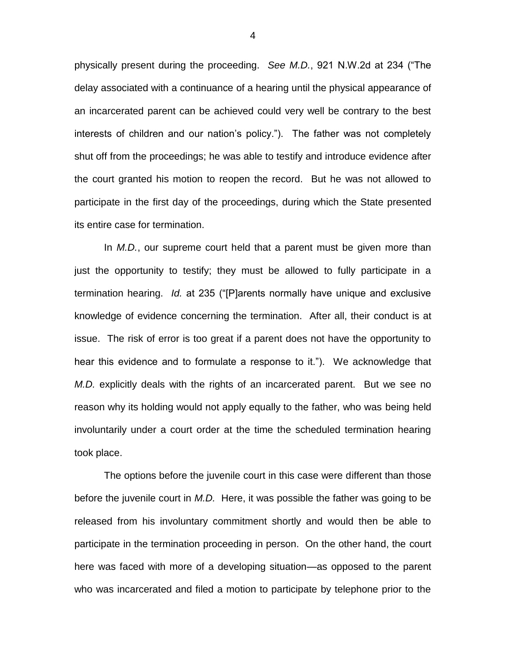physically present during the proceeding. *See M.D.*, 921 N.W.2d at 234 ("The delay associated with a continuance of a hearing until the physical appearance of an incarcerated parent can be achieved could very well be contrary to the best interests of children and our nation's policy."). The father was not completely shut off from the proceedings; he was able to testify and introduce evidence after the court granted his motion to reopen the record. But he was not allowed to participate in the first day of the proceedings, during which the State presented its entire case for termination.

In *M.D.*, our supreme court held that a parent must be given more than just the opportunity to testify; they must be allowed to fully participate in a termination hearing. *Id.* at 235 ("[P]arents normally have unique and exclusive knowledge of evidence concerning the termination. After all, their conduct is at issue. The risk of error is too great if a parent does not have the opportunity to hear this evidence and to formulate a response to it."). We acknowledge that *M.D.* explicitly deals with the rights of an incarcerated parent. But we see no reason why its holding would not apply equally to the father, who was being held involuntarily under a court order at the time the scheduled termination hearing took place.

The options before the juvenile court in this case were different than those before the juvenile court in *M.D.* Here, it was possible the father was going to be released from his involuntary commitment shortly and would then be able to participate in the termination proceeding in person. On the other hand, the court here was faced with more of a developing situation—as opposed to the parent who was incarcerated and filed a motion to participate by telephone prior to the

4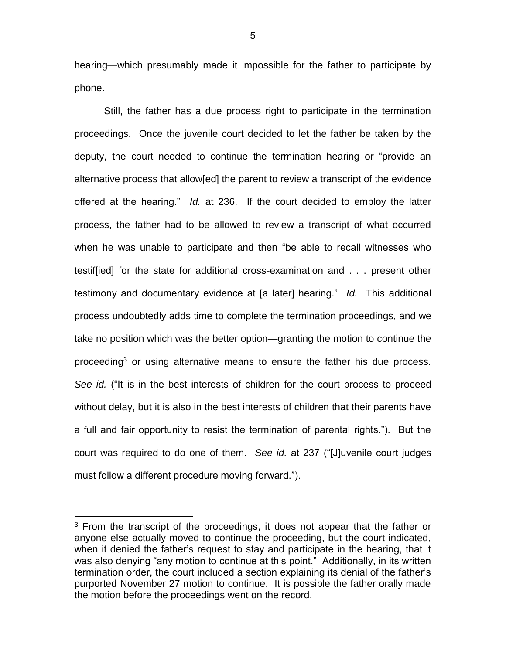hearing—which presumably made it impossible for the father to participate by phone.

Still, the father has a due process right to participate in the termination proceedings. Once the juvenile court decided to let the father be taken by the deputy, the court needed to continue the termination hearing or "provide an alternative process that allow[ed] the parent to review a transcript of the evidence offered at the hearing." *Id.* at 236. If the court decided to employ the latter process, the father had to be allowed to review a transcript of what occurred when he was unable to participate and then "be able to recall witnesses who testif[ied] for the state for additional cross-examination and . . . present other testimony and documentary evidence at [a later] hearing." *Id.* This additional process undoubtedly adds time to complete the termination proceedings, and we take no position which was the better option—granting the motion to continue the proceeding<sup>3</sup> or using alternative means to ensure the father his due process. *See id.* ("It is in the best interests of children for the court process to proceed without delay, but it is also in the best interests of children that their parents have a full and fair opportunity to resist the termination of parental rights."). But the court was required to do one of them. *See id.* at 237 ("[J]uvenile court judges must follow a different procedure moving forward.").

 $\overline{a}$ 

 $3$  From the transcript of the proceedings, it does not appear that the father or anyone else actually moved to continue the proceeding, but the court indicated, when it denied the father's request to stay and participate in the hearing, that it was also denying "any motion to continue at this point." Additionally, in its written termination order, the court included a section explaining its denial of the father's purported November 27 motion to continue. It is possible the father orally made the motion before the proceedings went on the record.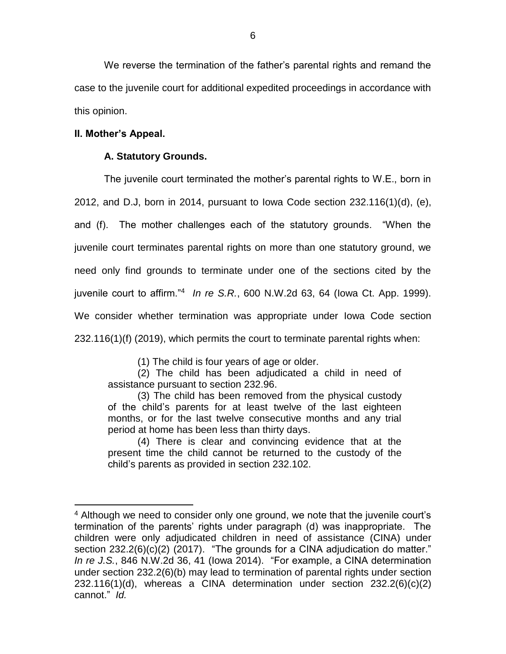We reverse the termination of the father's parental rights and remand the case to the juvenile court for additional expedited proceedings in accordance with this opinion.

# **II. Mother's Appeal.**

 $\overline{a}$ 

# **A. Statutory Grounds.**

The juvenile court terminated the mother's parental rights to W.E., born in 2012, and D.J, born in 2014, pursuant to Iowa Code section 232.116(1)(d), (e), and (f). The mother challenges each of the statutory grounds. "When the juvenile court terminates parental rights on more than one statutory ground, we need only find grounds to terminate under one of the sections cited by the juvenile court to affirm."<sup>4</sup> *In re S.R.*, 600 N.W.2d 63, 64 (Iowa Ct. App. 1999). We consider whether termination was appropriate under Iowa Code section 232.116(1)(f) (2019), which permits the court to terminate parental rights when:

(1) The child is four years of age or older.

(2) The child has been adjudicated a child in need of assistance pursuant to section 232.96.

(3) The child has been removed from the physical custody of the child's parents for at least twelve of the last eighteen months, or for the last twelve consecutive months and any trial period at home has been less than thirty days.

(4) There is clear and convincing evidence that at the present time the child cannot be returned to the custody of the child's parents as provided in section 232.102.

 $4$  Although we need to consider only one ground, we note that the juvenile court's termination of the parents' rights under paragraph (d) was inappropriate. The children were only adjudicated children in need of assistance (CINA) under section 232.2(6)(c)(2) (2017). "The grounds for a CINA adjudication do matter." *In re J.S.*, 846 N.W.2d 36, 41 (Iowa 2014). "For example, a CINA determination under section 232.2(6)(b) may lead to termination of parental rights under section 232.116(1)(d), whereas a CINA determination under section 232.2(6)(c)(2) cannot." *Id.*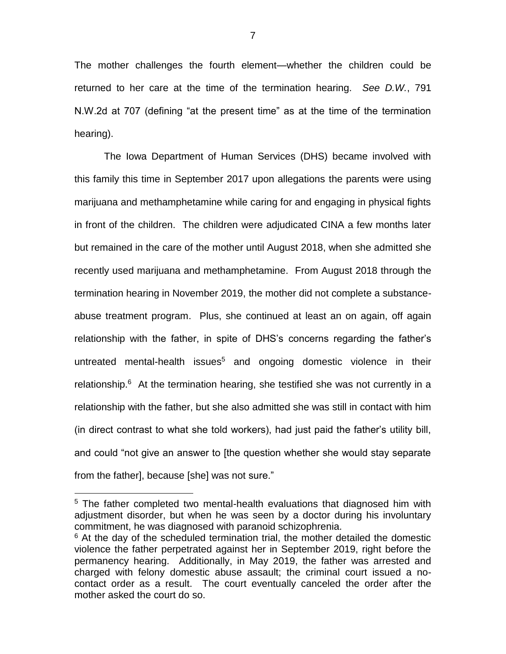The mother challenges the fourth element—whether the children could be returned to her care at the time of the termination hearing. *See D.W.*, 791 N.W.2d at 707 (defining "at the present time" as at the time of the termination hearing).

The Iowa Department of Human Services (DHS) became involved with this family this time in September 2017 upon allegations the parents were using marijuana and methamphetamine while caring for and engaging in physical fights in front of the children. The children were adjudicated CINA a few months later but remained in the care of the mother until August 2018, when she admitted she recently used marijuana and methamphetamine. From August 2018 through the termination hearing in November 2019, the mother did not complete a substanceabuse treatment program. Plus, she continued at least an on again, off again relationship with the father, in spite of DHS's concerns regarding the father's untreated mental-health issues<sup>5</sup> and ongoing domestic violence in their relationship.<sup>6</sup> At the termination hearing, she testified she was not currently in a relationship with the father, but she also admitted she was still in contact with him (in direct contrast to what she told workers), had just paid the father's utility bill, and could "not give an answer to [the question whether she would stay separate from the father], because [she] was not sure."

 $\overline{a}$ 

<sup>&</sup>lt;sup>5</sup> The father completed two mental-health evaluations that diagnosed him with adjustment disorder, but when he was seen by a doctor during his involuntary commitment, he was diagnosed with paranoid schizophrenia.

 $6$  At the day of the scheduled termination trial, the mother detailed the domestic violence the father perpetrated against her in September 2019, right before the permanency hearing. Additionally, in May 2019, the father was arrested and charged with felony domestic abuse assault; the criminal court issued a nocontact order as a result. The court eventually canceled the order after the mother asked the court do so.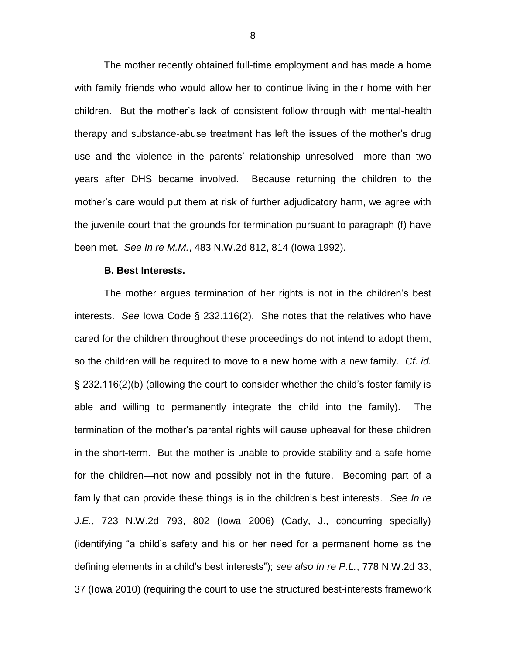The mother recently obtained full-time employment and has made a home with family friends who would allow her to continue living in their home with her children. But the mother's lack of consistent follow through with mental-health therapy and substance-abuse treatment has left the issues of the mother's drug use and the violence in the parents' relationship unresolved—more than two years after DHS became involved. Because returning the children to the mother's care would put them at risk of further adjudicatory harm, we agree with the juvenile court that the grounds for termination pursuant to paragraph (f) have been met. *See In re M.M.*, 483 N.W.2d 812, 814 (Iowa 1992).

#### **B. Best Interests.**

The mother argues termination of her rights is not in the children's best interests. *See* Iowa Code § 232.116(2). She notes that the relatives who have cared for the children throughout these proceedings do not intend to adopt them, so the children will be required to move to a new home with a new family. *Cf. id.* § 232.116(2)(b) (allowing the court to consider whether the child's foster family is able and willing to permanently integrate the child into the family). The termination of the mother's parental rights will cause upheaval for these children in the short-term. But the mother is unable to provide stability and a safe home for the children—not now and possibly not in the future. Becoming part of a family that can provide these things is in the children's best interests. *See In re J.E.*, 723 N.W.2d 793, 802 (Iowa 2006) (Cady, J., concurring specially) (identifying "a child's safety and his or her need for a permanent home as the defining elements in a child's best interests"); *see also In re P.L.*, 778 N.W.2d 33, 37 (Iowa 2010) (requiring the court to use the structured best-interests framework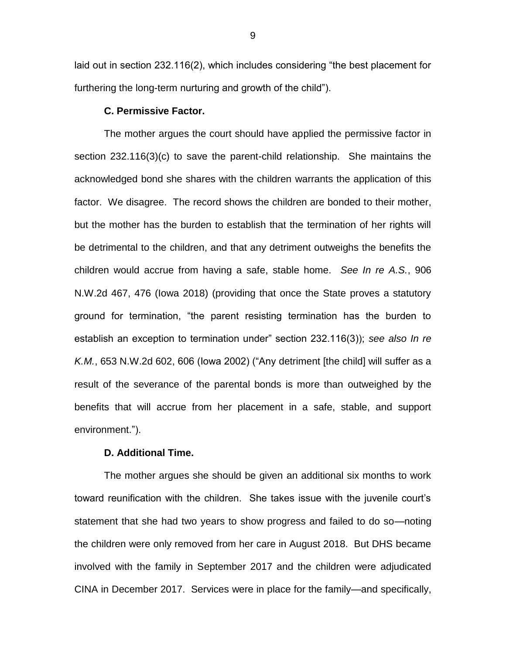laid out in section 232.116(2), which includes considering "the best placement for furthering the long-term nurturing and growth of the child").

#### **C. Permissive Factor.**

The mother argues the court should have applied the permissive factor in section 232.116(3)(c) to save the parent-child relationship. She maintains the acknowledged bond she shares with the children warrants the application of this factor. We disagree. The record shows the children are bonded to their mother, but the mother has the burden to establish that the termination of her rights will be detrimental to the children, and that any detriment outweighs the benefits the children would accrue from having a safe, stable home. *See In re A.S.*, 906 N.W.2d 467, 476 (Iowa 2018) (providing that once the State proves a statutory ground for termination, "the parent resisting termination has the burden to establish an exception to termination under" section 232.116(3)); *see also In re K.M.*, 653 N.W.2d 602, 606 (Iowa 2002) ("Any detriment [the child] will suffer as a result of the severance of the parental bonds is more than outweighed by the benefits that will accrue from her placement in a safe, stable, and support environment.").

## **D. Additional Time.**

The mother argues she should be given an additional six months to work toward reunification with the children. She takes issue with the juvenile court's statement that she had two years to show progress and failed to do so—noting the children were only removed from her care in August 2018. But DHS became involved with the family in September 2017 and the children were adjudicated CINA in December 2017. Services were in place for the family—and specifically,